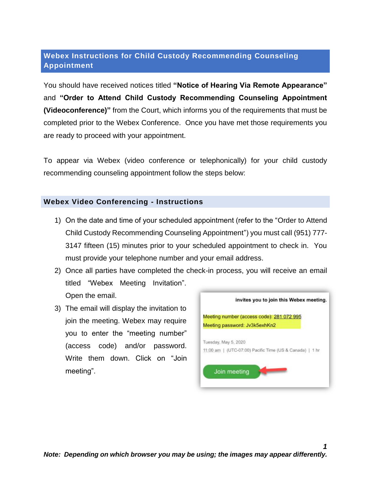## **Webex Instructions for Child Custody Recommending Counseling Appointment**

You should have received notices titled **"Notice of Hearing Via Remote Appearance"** and **"Order to Attend Child Custody Recommending Counseling Appointment (Videoconference)"** from the Court, which informs you of the requirements that must be completed prior to the Webex Conference. Once you have met those requirements you are ready to proceed with your appointment.

To appear via Webex (video conference or telephonically) for your child custody recommending counseling appointment follow the steps below:

## **Webex Video Conferencing - Instructions**

- 1) On the date and time of your scheduled appointment (refer to the "Order to Attend Child Custody Recommending Counseling Appointment") you must call (951) 777- 3147 fifteen (15) minutes prior to your scheduled appointment to check in. You must provide your telephone number and your email address.
- 2) Once all parties have completed the check-in process, you will receive an email titled "Webex Meeting Invitation". Open the email.
- 3) The email will display the invitation to join the meeting. Webex may require you to enter the "meeting number" (access code) and/or password. Write them down. Click on "Join meeting".



*1*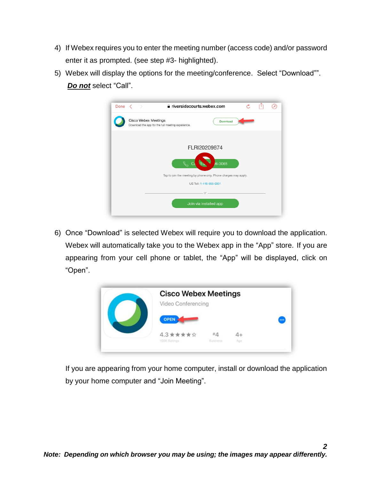- 4) If Webex requires you to enter the meeting number (access code) and/or password enter it as prompted. (see step #3- highlighted).
- 5) Webex will display the options for the meeting/conference. Select "Download"". *Do not* select "Call".

| Done $\langle \rangle$                                                           | a riversidecourts.webex.com                                                                |          | σ, |  |
|----------------------------------------------------------------------------------|--------------------------------------------------------------------------------------------|----------|----|--|
| <b>Cisco Webex Meetings</b><br>Download the app for the full meeting experience. |                                                                                            | Download |    |  |
|                                                                                  | FLRI20209874                                                                               |          |    |  |
|                                                                                  |                                                                                            | 6-3065   |    |  |
|                                                                                  | Tap to join the meeting by phone only. Phone charges may apply.<br>US Toll: 1-415-655-0001 |          |    |  |
|                                                                                  | $or -$                                                                                     |          |    |  |
|                                                                                  | Join via installed app                                                                     |          |    |  |

6) Once "Download" is selected Webex will require you to download the application. Webex will automatically take you to the Webex app in the "App" store. If you are appearing from your cell phone or tablet, the "App" will be displayed, click on "Open".



If you are appearing from your home computer, install or download the application by your home computer and "Join Meeting".

*2*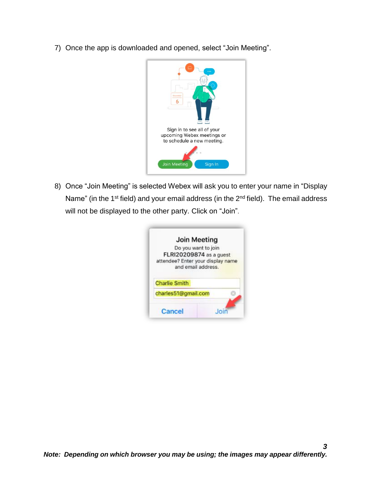7) Once the app is downloaded and opened, select "Join Meeting".



8) Once "Join Meeting" is selected Webex will ask you to enter your name in "Display Name" (in the  $1<sup>st</sup>$  field) and your email address (in the  $2<sup>nd</sup>$  field). The email address will not be displayed to the other party. Click on "Join".

|                      | <b>Join Meeting</b>                                     |
|----------------------|---------------------------------------------------------|
|                      | Do you want to join                                     |
|                      | FLRI20209874 as a guest                                 |
|                      | attendee? Enter your display name<br>and email address. |
|                      |                                                         |
| <b>Charlie Smith</b> |                                                         |
| charles51@gmail.com  |                                                         |
|                      |                                                         |
|                      |                                                         |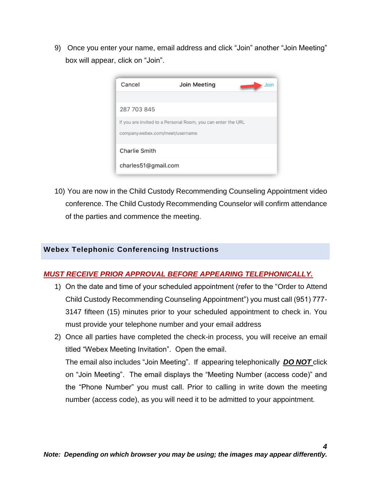9) Once you enter your name, email address and click "Join" another "Join Meeting" box will appear, click on "Join".



10) You are now in the Child Custody Recommending Counseling Appointment video conference. The Child Custody Recommending Counselor will confirm attendance of the parties and commence the meeting.

## **Webex Telephonic Conferencing Instructions**

## *MUST RECEIVE PRIOR APPROVAL BEFORE APPEARING TELEPHONICALLY.*

- 1) On the date and time of your scheduled appointment (refer to the "Order to Attend Child Custody Recommending Counseling Appointment") you must call (951) 777- 3147 fifteen (15) minutes prior to your scheduled appointment to check in. You must provide your telephone number and your email address
- 2) Once all parties have completed the check-in process, you will receive an email titled "Webex Meeting Invitation". Open the email. The email also includes "Join Meeting". If appearing telephonically *DO NOT* click on "Join Meeting". The email displays the "Meeting Number (access code)" and the "Phone Number" you must call. Prior to calling in write down the meeting number (access code), as you will need it to be admitted to your appointment.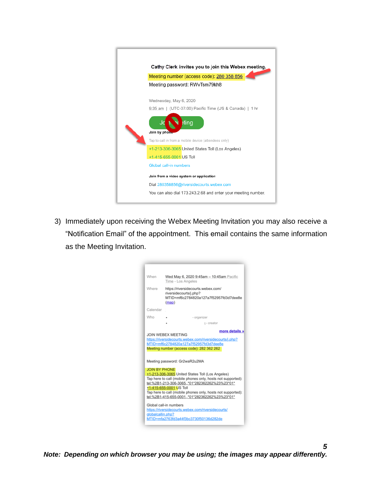| Cathy Clerk invites you to join this Webex meeting.           |
|---------------------------------------------------------------|
| Meeting number (access code): 280 358 856                     |
| Meeting password: RWvTsm79kh8                                 |
|                                                               |
| Wednesday, May 6, 2020                                        |
| 9:35 am   (UTC-07:00) Pacific Time (US & Canada)   1 hr       |
|                                                               |
| ting                                                          |
| Join by phone                                                 |
| Tap to call in from a mobile device (attendees only)          |
| +1-213-306-3065 United States Toll (Los Angeles)              |
| +1-415-655-0001 US Toll                                       |
| Global call-in numbers                                        |
| Join from a video system or application                       |
| Dial 280358856@riversidecourts.webex.com                      |
|                                                               |
| You can also dial 173.243.2.68 and enter your meeting number. |
|                                                               |

3) Immediately upon receiving the Webex Meeting Invitation you may also receive a "Notification Email" of the appointment. This email contains the same information as the Meeting Invitation.

| When                 | Wed May 6, 2020 9:45am - 10:45am Pacific<br>Time - Los Angeles                                                                                                                                                                                                                                              |
|----------------------|-------------------------------------------------------------------------------------------------------------------------------------------------------------------------------------------------------------------------------------------------------------------------------------------------------------|
| Where                | https://riversidecourts.webex.com/<br>riversidecourts/j.php?<br>MTID=mf6c2784820a127a7f52957fd3d7dee8e<br>(map)                                                                                                                                                                                             |
| Calendar             |                                                                                                                                                                                                                                                                                                             |
| Who                  | - organizer                                                                                                                                                                                                                                                                                                 |
|                      | I - creator                                                                                                                                                                                                                                                                                                 |
|                      | more details »<br>JOIN WEBEX MEETING<br>https://riversidecourts.webex.com/riversidecourts/j.php?<br>MTID=mf6c2784820a127a7f52957fd3d7dee8e<br>Meeting number (access code): 282 362 262                                                                                                                     |
|                      | Meeting password: Gr2waR2u2MA                                                                                                                                                                                                                                                                               |
| <b>JOIN BY PHONE</b> | +1-213-306-3065 United States Toll (Los Angeles)<br>Tap here to call (mobile phones only, hosts not supported):<br>tel:%2B1-213-306-3065*01*282362262%23%23*01*<br>+1-415-655-0001 US Toll<br>Tap here to call (mobile phones only, hosts not supported):<br>tel:%2B1-415-655-0001.,*01*282362262%23%23*01* |
|                      | Global call-in numbers                                                                                                                                                                                                                                                                                      |